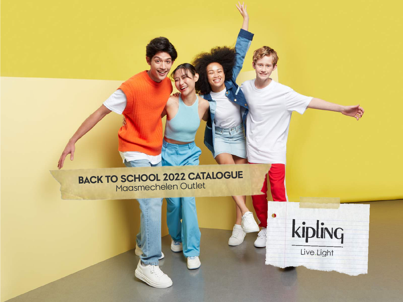# **BACK TO SCHOOL 2022 CATALOGUE**<br>Maasmechelen Outlet



Live.Light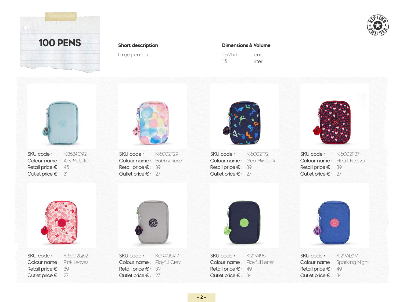



Large pencase

### **Short description Dimensions & Volume**

| 15x21x5 | cm    |
|---------|-------|
| 1,5     | liter |



SKU code : Colour name: Airy Metallic Retail price € : 45 Outlet price € : 31 KI3624O92



SKU code : Colour name: Bubbly Rose Retail price € : 39 Outlet price € : 27 KI6002T29



SKU code : Colour name: Geo Mix Dark Retail price € : 39 Outlet price € : 27 KI6002T72



SKU code : Colour name: Heart Festival Retail price € : 39 Outlet price € : 27KI6002FB7



SKU code : Colour name: Pink Leaves Retail price € : 39 Outlet price € : 27 KI6002Q62



SKU code : Colour name: Playful Grey Retail price € : 39 Outlet price € : 27 K09405X17



SKU code : Colour name: Playfull Letter Retail price € : 49 Outlet price € : 34 KI297496I



SKU code : Colour name: Sparkling Night Retail price € : 49 Outlet price € : 34 KI2974Z97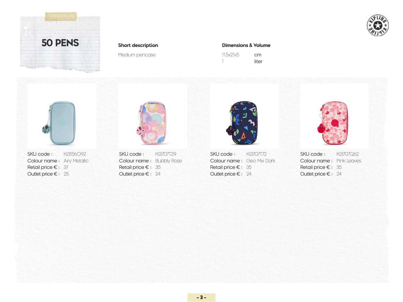



### **Short description Dimensions & Volume**

| 11.5x21x5 | cm    |
|-----------|-------|
|           | liter |





Outlet price € : Outlet price € : Outlet price € : Outlet price € : 25 24 24 24



SKU code : SKU code : SKU code : SKU code : Colour name : Airy Metallic **Colour name : Bubbly Rose Colour name : Geo Mix Dark Colour name : Pink Leaves** Retail price € : Retail price € : Retail price € : Retail price € : 37 35 35 35 KI3156O92 **SKU code** : KI3707T29 **SKU code :** KI3707T72 **SKU code :** KI3707Q62

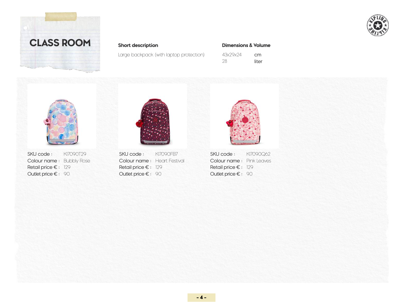



### **Short description Dimensions & Volume**

Large backpack (with laptop protection)

| 43x29x24 | cm    |
|----------|-------|
| 28       | liter |



Colour name : Bubbly Rose Colour name : Hec<br>Retail price € : 129 Retail price € : 129 Retail price € : 129<br>
Retail price € : 129<br>
Outlet price € : 90<br>
Outlet price € : 90<br>
Outlet price € : 90



SKU code : KI7090T29 SKU code : KI7090FB7 SKU code : KI7090Q62<br>Colour name : Bubbly Rose Colour name : Heart Festival Colour name : Pink Leaves Outlet price € : 90 0utlet price € : 90 0utlet price € : 90 Colour name: Heart Festival



SKU code: KI7090Q62 Retail price  $\epsilon$ : 129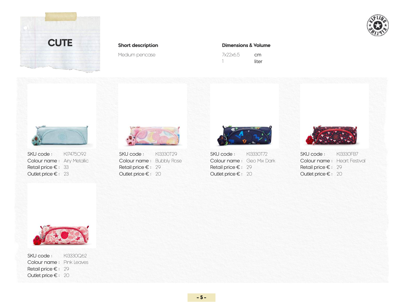



### **Short description Dimensions & Volume**

| 7x22x6.5 | cm    |
|----------|-------|
|          | liter |





Colour name: Bubbly Rose Outlet price  $\epsilon$ : 20



SKU code : SKU code : SKU code : SKU code : Colour name : Airy Metallic Colour name : Bubbly Rose Colour name : Geo Mix Dark Colour name : Heart Festival<br>Retail price € : 29 Retail price € : 29 Retail price € : 29 Retail price € : 29 Retail price € : 29 Retail price € : 33 Retail price € : 29 Retail price € : 29 Retail price € : 29 Retail price € : 29 Outlet price € : 20 0utlet price € : 20 0utlet price € : 20 0utlet price € : 20 0utlet price € : 20 KI7475O92 **SKU code** : KI3330T29 **SKU code : K**I3330T72 **SKU code : K**I3330FB7





SKU code : Colour name: Pink Leaves Retail price € : 29 Outlet price € : 20 KI3330Q62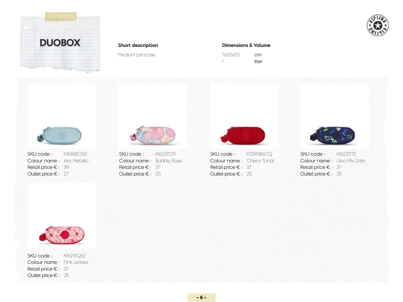



### **Short description Dimensions & Volume**

| 7x20x8.5 | cm    |
|----------|-------|
|          | liter |





Outlet price € : Outlet price € : Outlet price € : Outlet price € : 27 25 25 25Colour name: Bubbly Rose

SKU code : SKU code : SKU code : SKU code : Colour name : Airy Metallic Colour name : Bubbly Rose Colour name : Cherry Tonal Colour name : Geo Mix Dark<br>Retail price € : 37 Retail price € : 37 Retail price € : 37 Retail price € : 39 **37** Retail price € : 37 **Retail price € : 37** Retail price € : 37 KI6888O92 KI6231T29 K129086CQ KI6231T72





SKU code : Colour name: Pink Leaves Retail price € : 37 Outlet price € : 25 KI6231Q62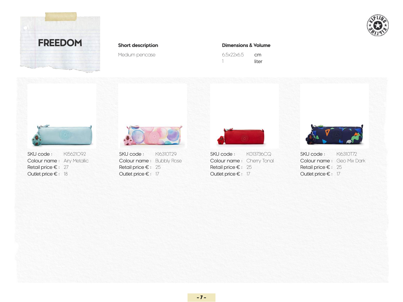



### **Short description Dimensions & Volume**

| 6.5x22x6.5 | cm    |
|------------|-------|
|            | liter |



Outlet price € : Outlet price € : Outlet price € : Outlet price € : 18 17 17 17

Retail price € : 27 Retail price € : 25 Retail price € : 25 Retail price € : 25 Retail price € : 25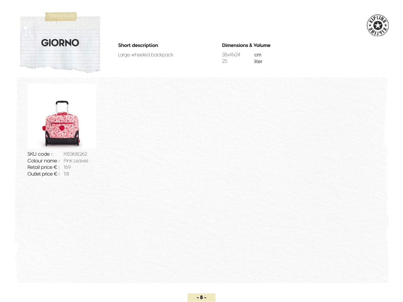



### **Short description Dimensions & Volume**

Large wheeled backpack 38x41x24

| 38x41x24 | cm    |
|----------|-------|
| 25       | liter |



SKU code : Colour name: Pink Leaves Retail price € : 169 Outlet price € : 118KI5368Q62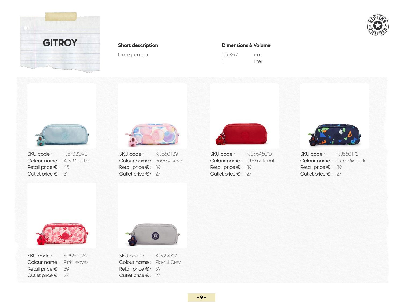



Large pencase

### **Short description Dimensions & Volume**

| 10x23x7 | cm    |
|---------|-------|
|         | liter |



SKU code : Colour name: Airy Metallic Retail price € : 45 Outlet price € : 31 KI5702O92



Outlet price € : Outlet price € : Outlet price € : 27 27 27



 $SKU \text{ code}:$   $K13560T29$   $SKU \text{ code}:$   $K135646CQ$   $SKU \text{ code}:$ Colour name: Bubbly Rose **Colour name**: Cherry Tonal **Colour name**: Geo Mix Dark Retail price €: 39 **Retail price €: 39 Retail price €: 39 Retail price €: 39** KI3560T29 **SKU code:** KI35646CQ **SKU code:** KI3560T72





SKU code : Colour name: Pink Leaves Retail price € : 39 Outlet price € : 27 KI3560Q62



SKU code : Colour name: Playful Grey Retail price € : 39 Outlet price € : 27 K13564X17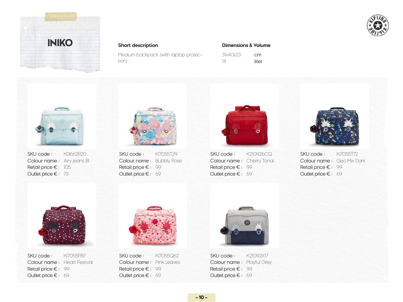



**Short description Dimensions & Volume**

| Medium backpack (with laptop protec- |  |
|--------------------------------------|--|
| tion)                                |  |

| 31x40x23 | cm    |
|----------|-------|
| 18       | liter |



SKU code : Colour name: Airy Jeans Bl Retail price € : 105 Outlet price € : 73 KI3662R20



SKU code : Colour name: Bubbly Rose Retail price € : 99 Outlet price € : 69 KI7055T29



SKU code : SKU code : K210926CQ KI7055T72 Colour name : Cherry Tonal Retail price € : 99 Outlet price € : 69



Colour name: Geo Mix Dark Retail price  $\epsilon$ : 99 Outlet price  $\epsilon$ : 69



SKU code : Colour name: Heart Festival Retail price € : 99 Outlet price € : 69 KI7055FB7



SKU code : Colour name: Pink Leaves Retail price € : 99 Outlet price € : 69 KI7055Q62



SKU code : Colour name: Playful Grey Retail price € : 99 Outlet price € : 69 K21092X17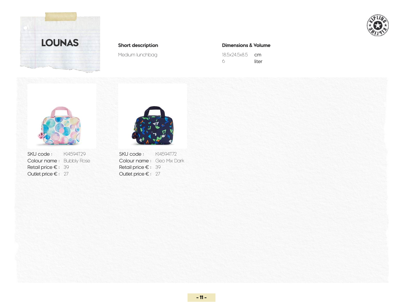



Medium lunchbag

### **Short description Dimensions & Volume**

| 18.5x24.5x8.5 | cm    |
|---------------|-------|
| 6             | liter |



**SKU code :** KI4594T29 **SKU code :** KI4594T72 Colour name : Bubbly Rose Retail price  $\epsilon$  : 39 Outlet price  $\epsilon$  : 27



```
Colour name: Geo Mix Dark
Retail price \epsilon: 39
Outlet price \epsilon: 27
```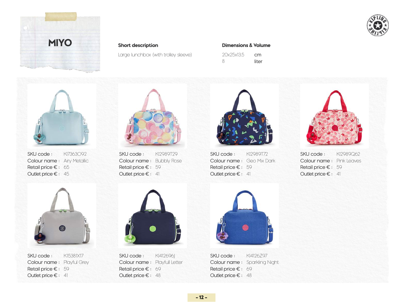



Large lunchbox (with trolley sleeve)

### **Short description Dimensions & Volume**

| 20x25x13.5 | cm    |
|------------|-------|
| 8          | liter |



SKU code : Colour name: Airy Metallic Retail price € : 65 Outlet price € : 45 KI7363092



SKU code : Colour name: Playful Grey Retail price € : 59 Outlet price € : 41 K15381X17



SKU code : Colour name: Bubbly Rose Retail price € : 59 Outlet price € : 41 KI2989T29



SKU code : Colour name: Playfull Letter Retail price € : 69 Outlet price € : 48 KI412696J



**SKU code :** KI2989T72 **SKU code :** KI2989Q62 Colour name : Geo Mix Dark Retail price € : 59 Outlet price  $\epsilon$  : 41



Colour name: Pink Leaves Retail price  $\epsilon$ : 59 Outlet price  $\epsilon$ : 41



SKU code : Colour name: Sparkling Night Retail price € : 69 Outlet price € : 48 KI4126Z97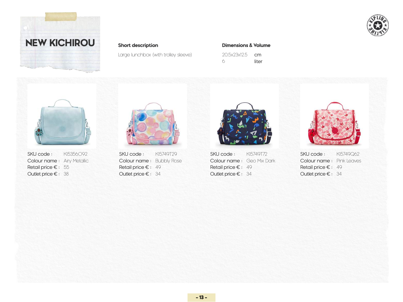



Large lunchbox (with trolley sleeve)

### **Short description Dimensions & Volume**

| 20.5x23x12.5 | cm    |
|--------------|-------|
| 6            | liter |





Outlet price € : Outlet price € : Outlet price € : Outlet price € : 38 34 34 34Colour name: Bubbly Rose



SKU code : SKU code : SKU code : SKU code : Colour name : Airy Metallic Colour name : Bubbly Rose Colour name : Geo Mix Dark Colour name : Pink Leaves<br>
Retail price € : 49 Retail price € : 49 Retail price € : 49 Retail price € : 55 Retail price € : 49 Retail price € : 49 Retail price € : 49 Retail price € : 49 KI5356O92 KI5749T29 KI5749T72 KI5749Q62

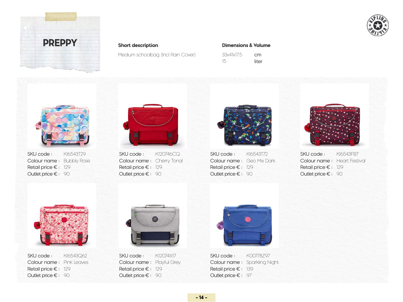



Medium schoolbag (Incl Rain Cover)

### **Short description Dimensions & Volume**

| 33x41x17.5 | cm.   |
|------------|-------|
| 15         | liter |



SKU code : Colour name: Bubbly Rose Retail price € : 129 Outlet price € : 90 KI6543T29



SKU code : Colour name: Cherry Tonal Retail price € : 129 Outlet price € : 90 K120746CQ



**SKU code :** KI6543T72 **SKU code :** KI6543FB7 Colour name : Geo Mix Dark Retail price € : 129 Outlet price € : 90



Colour name: Heart Festival Retail price  $\epsilon$ : 129 Outlet price  $\epsilon$ : 90



SKU code : Colour name: Pink Leaves Retail price € : 129 Outlet price € : 90 KI6543Q62



SKU code : Colour name: Playful Grey Retail price € : 129 Outlet price € : 90 K12074X17



SKU code : Colour name: Sparkling Night Retail price € : 139 Outlet price € : 97 K00778Z97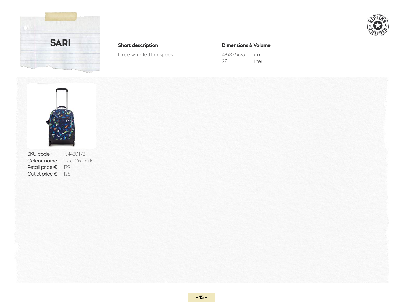



**Short description Dimensions & Volume**

Large wheeled backpack 48x32.5x25

| 48x32.5x25 | cm    |
|------------|-------|
| 27         | liter |



**SKU code :** KI4420T72 Colour name: Geo Mix Dark Retail price € : 179 Outlet price € : 125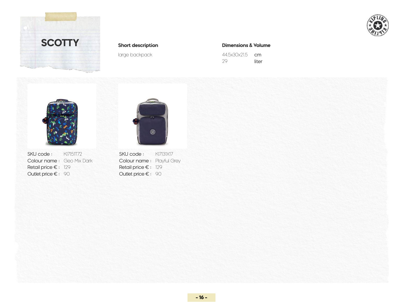



large backpack

### **Short description Dimensions & Volume**

| 445x30x215 | cm    |
|------------|-------|
| 29         | liter |



SKU code : KI7151T72 Colour name : Geo Mix Dark Retail price € : 129 Outlet price € : 90



SKU code: KI7131X17 Colour name: Playful Grey Retail price  $\epsilon$ : 129 Outlet price  $\epsilon$ : 90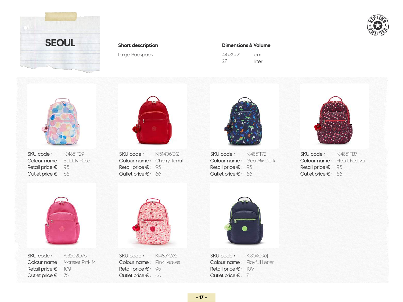



Large Backpack

### **Short description Dimensions & Volume**

| 44x35x21 | cm    |
|----------|-------|
| -27      | liter |



SKU code : Colour name: Bubbly Rose Retail price € : 95 Outlet price € : 66 KI4851T29



SKU code : Colour name: Cherry Tonal Retail price € : 95 Outlet price € : 66 KI51406CQ



SKU code : KI4851T72 Colour name : Geo Mix Dark Retail price € : 95 Outlet price € : 66



SKU code: KI4851FB7 Colour name: Heart Festival Retail price  $\epsilon$ : 95 Outlet price  $\epsilon$ : 66



SKU code : Colour name: Monster Pink M Retail price € : 109 Outlet price € : 76 KI3202O76



SKU code : Colour name: Pink Leaves Retail price € : 95 Outlet price € : 66 KI4851Q62



SKU code : Colour name: Playfull Letter Retail price € : 109 Outlet price € : 76 KI304096J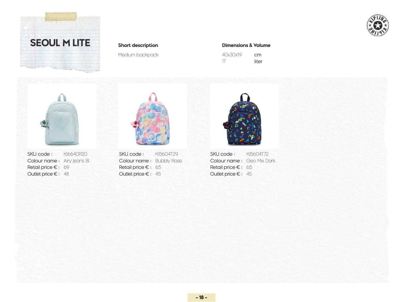



Medium backpack

### **Short description Dimensions & Volume**

| 40x30x19 | cm    |
|----------|-------|
| 17       | liter |



Retail price € : 69 **Retail price € : 65 Retail price € : 65 Retail price € : 65** 



Outlet price €: 48 **Outlet price €** : 45 **Outlet price €** : 45



SKU code : KI6640R20 SKU code : KI5604T29 SKU code : KI5604T72<br>
Colour name : Airy Jeans Black Colour name : Bubbly Rose Colour name : Geo Mix Dark Colour name : Airy Jeans Black Colour name : Bubbly Rose Colour name : Geo Mix Dark SKU code: KI5604T72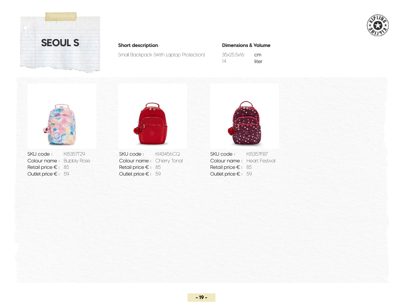



Small Backpack (With Laptop Protection)

### **Short description Dimensions & Volume**

| 35x25.5x16 | cm    |
|------------|-------|
| 14         | liter |



Retail price € : 85 Retail price € : 85 Retail price € : 85



Outlet price € : 59 **59** 59 **Outlet price € : 59** 59 **Outlet price € : 59** 



SKU code : KI5357T29 SKU code : KI43456CQ SKU code : KI5357FB7<br>
Colour name : Bubbly Rose Colour name : Cherry Tonal Colour name : Heart Festival Colour name: Bubbly Rose **Colour name**: Cherry Tonal **Colour name**: Heart Festival SKU code: KI5357FB7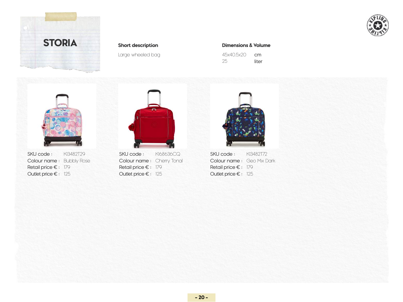



Large wheeled bag

### **Short description Dimensions & Volume**

| 45x40.5x20 | cm    |
|------------|-------|
| 25         | liter |



**SKU code :** KI3482T29 **SKU code :** KI68636CQ **SKU code :** KI3482T72 Retail price € : 179 **Retail price € : 179** Retail price € : 179



Outlet price €: 125 **Dutlet price €: 125 Outlet price €: 125 Outlet price €: 125** 



Colour name: Bubbly Rose **Colour name**: Cherry Tonal **Colour name**: Geo Mix Dark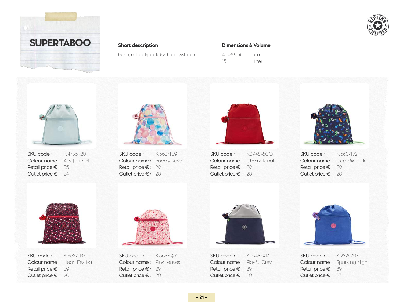



Medium backpack (with drawstring)

### **Short description Dimensions & Volume**

| 45x395x0 | cm    |
|----------|-------|
| 15       | liter |



SKU code : Colour name: Airy Jeans Bl Retail price € : 35 Outlet price € : 24 KI4786R20



SKU code : Colour name: Bubbly Rose Retail price € : 29 Outlet price € : 20 KI5637T29



SKU code : Colour name: Cherry Tonal Retail price € : 29 Outlet price € : 20 K094876CQ



SKU code : Colour name: Geo Mix Dark Retail price € : 29 Outlet price € : 20KI5637T72



SKU code : Colour name: Heart Festival Retail price € : 29 Outlet price € : 20 KI5637FB7



SKU code : Colour name: Pink Leaves Retail price € : 29 Outlet price € : 20 KI5637Q62



SKU code : Colour name: Playful Grey Retail price € : 29 Outlet price € : 20 K09487X17



SKU code : Colour name: Sparkling Night Retail price € : 39 Outlet price € : 27 KI2825Z97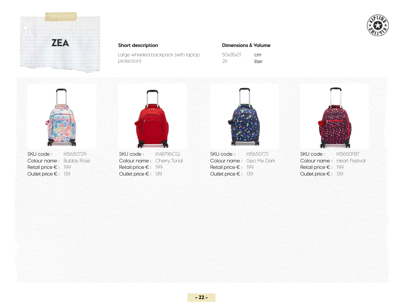



Large wheeled backpack (with laptop protection)

### **Short description Dimensions & Volume**

| 50x35x21 | cm    |
|----------|-------|
| 26       | liter |





Outlet price €: 139 20thet price €: 139 20thet price €: 139 20thet price €: 139 20thet price €: 139



SKU code : SKU code : SKU code : SKU code : Colour name : Bubbly Rose Colour name : Cherry Tonal Colour name : Geo Mix Dark Colour name : Heart Festival Retail price €: 199 Retail price €: 199 Retail price €: 199 Retail price €: 199 Retail price €: 199 KI5650T29 **SKU code** : KI48796CQ **SKU code :** KI5650T72 **SKU code :** KI5650FB7